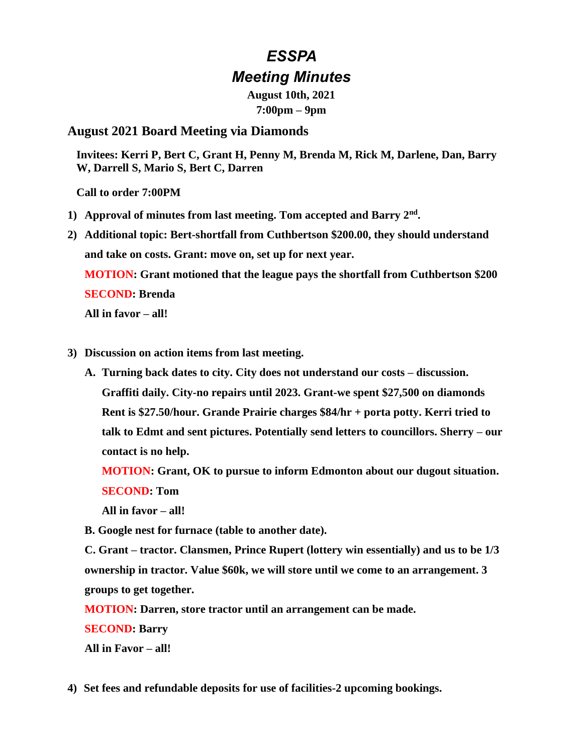# *ESSPA Meeting Minutes*

**August 10th, 2021 7:00pm – 9pm**

## **August 2021 Board Meeting via Diamonds**

**Invitees: Kerri P, Bert C, Grant H, Penny M, Brenda M, Rick M, Darlene, Dan, Barry W, Darrell S, Mario S, Bert C, Darren** 

**Call to order 7:00PM**

- **1) Approval of minutes from last meeting. Tom accepted and Barry 2nd .**
- **2) Additional topic: Bert-shortfall from Cuthbertson \$200.00, they should understand and take on costs. Grant: move on, set up for next year.**

**MOTION: Grant motioned that the league pays the shortfall from Cuthbertson \$200 SECOND: Brenda**

**All in favor – all!** 

- **3) Discussion on action items from last meeting.** 
	- **A. Turning back dates to city. City does not understand our costs – discussion. Graffiti daily. City-no repairs until 2023. Grant-we spent \$27,500 on diamonds Rent is \$27.50/hour. Grande Prairie charges \$84/hr + porta potty. Kerri tried to talk to Edmt and sent pictures. Potentially send letters to councillors. Sherry – our contact is no help.**

**MOTION: Grant, OK to pursue to inform Edmonton about our dugout situation. SECOND: Tom**

**All in favor – all!**

**B. Google nest for furnace (table to another date).**

**C. Grant – tractor. Clansmen, Prince Rupert (lottery win essentially) and us to be 1/3 ownership in tractor. Value \$60k, we will store until we come to an arrangement. 3 groups to get together.** 

**MOTION: Darren, store tractor until an arrangement can be made.**

**SECOND: Barry**

**All in Favor – all!**

**4) Set fees and refundable deposits for use of facilities-2 upcoming bookings.**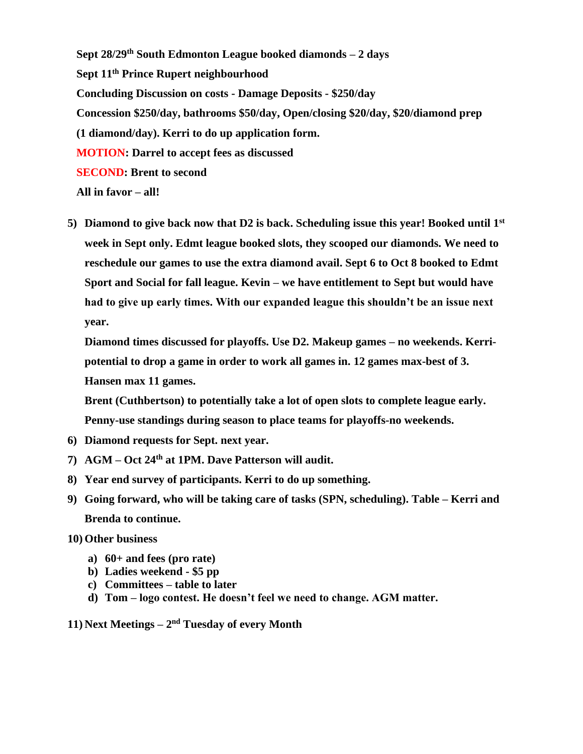**Sept 28/29th South Edmonton League booked diamonds – 2 days Sept 11th Prince Rupert neighbourhood Concluding Discussion on costs - Damage Deposits - \$250/day Concession \$250/day, bathrooms \$50/day, Open/closing \$20/day, \$20/diamond prep (1 diamond/day). Kerri to do up application form. MOTION: Darrel to accept fees as discussed SECOND: Brent to second All in favor – all!**

**5) Diamond to give back now that D2 is back. Scheduling issue this year! Booked until 1st week in Sept only. Edmt league booked slots, they scooped our diamonds. We need to reschedule our games to use the extra diamond avail. Sept 6 to Oct 8 booked to Edmt Sport and Social for fall league. Kevin – we have entitlement to Sept but would have had to give up early times. With our expanded league this shouldn't be an issue next year.** 

**Diamond times discussed for playoffs. Use D2. Makeup games – no weekends. Kerripotential to drop a game in order to work all games in. 12 games max-best of 3. Hansen max 11 games.**

**Brent (Cuthbertson) to potentially take a lot of open slots to complete league early. Penny-use standings during season to place teams for playoffs-no weekends.**

- **6) Diamond requests for Sept. next year.**
- **7) AGM – Oct 24th at 1PM. Dave Patterson will audit.**
- **8) Year end survey of participants. Kerri to do up something.**
- **9) Going forward, who will be taking care of tasks (SPN, scheduling). Table – Kerri and Brenda to continue.**
- **10) Other business**
	- **a) 60+ and fees (pro rate)**
	- **b) Ladies weekend - \$5 pp**
	- **c) Committees – table to later**
	- **d) Tom – logo contest. He doesn't feel we need to change. AGM matter.**
- **11) Next Meetings – 2 nd Tuesday of every Month**